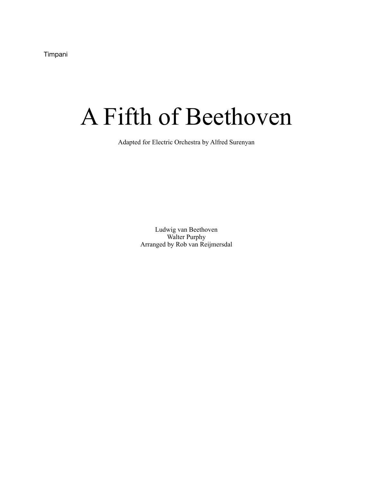Timpani

## A Fifth of Beethoven

Adapted for Electric Orchestra by Alfred Surenyan

Ludwig van Beethoven Walter Purphy Arranged by Rob van Reijmersdal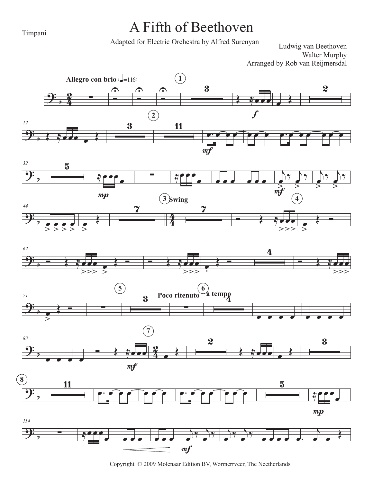Timpani

## A Fifth of Beethoven

Adapted for Electric Orchestra by Alfred Surenyan

Ludwig van Beethoven Walter Murphy Arranged by Rob van Reijmersdal















Copyright © 2009 Molenaar Edition BV, Wormerrveer, The Neetherlands